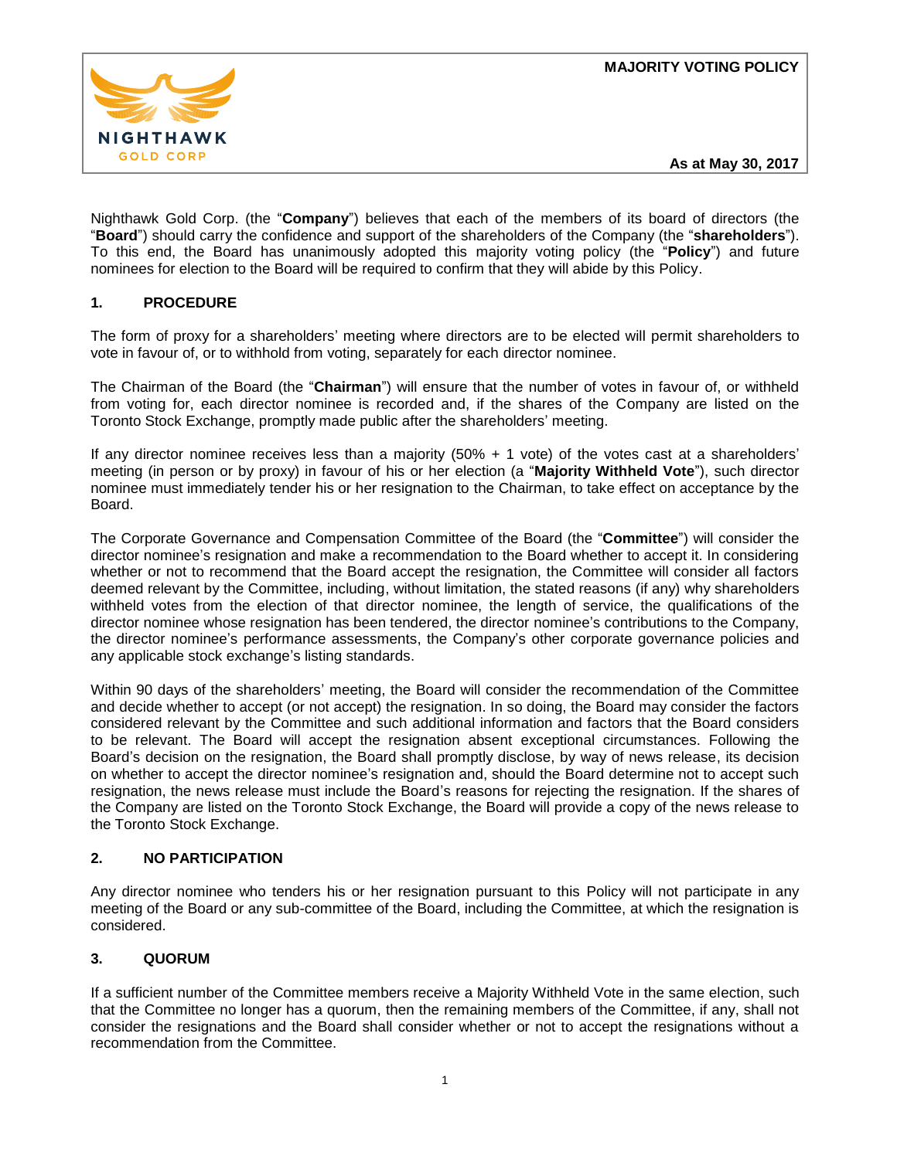

Nighthawk Gold Corp. (the "**Company**") believes that each of the members of its board of directors (the "**Board**") should carry the confidence and support of the shareholders of the Company (the "**shareholders**"). To this end, the Board has unanimously adopted this majority voting policy (the "**Policy**") and future nominees for election to the Board will be required to confirm that they will abide by this Policy.

# **1. PROCEDURE**

The form of proxy for a shareholders' meeting where directors are to be elected will permit shareholders to vote in favour of, or to withhold from voting, separately for each director nominee.

The Chairman of the Board (the "**Chairman**") will ensure that the number of votes in favour of, or withheld from voting for, each director nominee is recorded and, if the shares of the Company are listed on the Toronto Stock Exchange, promptly made public after the shareholders' meeting.

If any director nominee receives less than a majority (50% + 1 vote) of the votes cast at a shareholders' meeting (in person or by proxy) in favour of his or her election (a "**Majority Withheld Vote**"), such director nominee must immediately tender his or her resignation to the Chairman, to take effect on acceptance by the Board.

The Corporate Governance and Compensation Committee of the Board (the "**Committee**") will consider the director nominee's resignation and make a recommendation to the Board whether to accept it. In considering whether or not to recommend that the Board accept the resignation, the Committee will consider all factors deemed relevant by the Committee, including, without limitation, the stated reasons (if any) why shareholders withheld votes from the election of that director nominee, the length of service, the qualifications of the director nominee whose resignation has been tendered, the director nominee's contributions to the Company, the director nominee's performance assessments, the Company's other corporate governance policies and any applicable stock exchange's listing standards.

Within 90 days of the shareholders' meeting, the Board will consider the recommendation of the Committee and decide whether to accept (or not accept) the resignation. In so doing, the Board may consider the factors considered relevant by the Committee and such additional information and factors that the Board considers to be relevant. The Board will accept the resignation absent exceptional circumstances. Following the Board's decision on the resignation, the Board shall promptly disclose, by way of news release, its decision on whether to accept the director nominee's resignation and, should the Board determine not to accept such resignation, the news release must include the Board's reasons for rejecting the resignation. If the shares of the Company are listed on the Toronto Stock Exchange, the Board will provide a copy of the news release to the Toronto Stock Exchange.

## **2. NO PARTICIPATION**

Any director nominee who tenders his or her resignation pursuant to this Policy will not participate in any meeting of the Board or any sub-committee of the Board, including the Committee, at which the resignation is considered.

## **3. QUORUM**

If a sufficient number of the Committee members receive a Majority Withheld Vote in the same election, such that the Committee no longer has a quorum, then the remaining members of the Committee, if any, shall not consider the resignations and the Board shall consider whether or not to accept the resignations without a recommendation from the Committee.